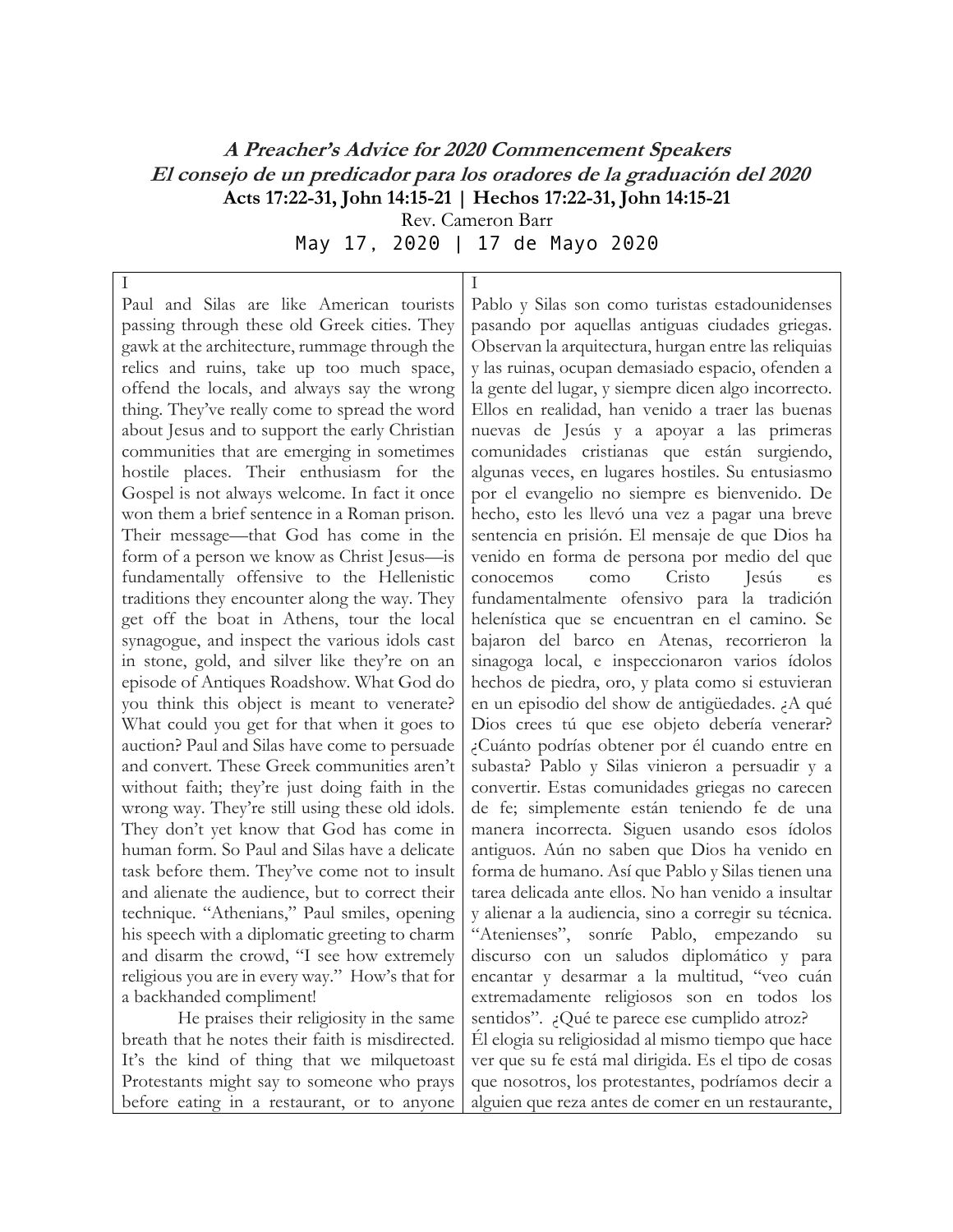## **A Preacher's Advice for 2020 Commencement Speakers El consejo de un predicador para los oradores de la graduación del 2020 Acts 17:22-31, John 14:15-21 | Hechos 17:22-31, John 14:15-21**  Rev. Cameron Barr

May 17, 2020 | 17 de Mayo 2020

I

I Paul and Silas are like American tourists passing through these old Greek cities. They gawk at the architecture, rummage through the relics and ruins, take up too much space, offend the locals, and always say the wrong thing. They've really come to spread the word about Jesus and to support the early Christian communities that are emerging in sometimes hostile places. Their enthusiasm for the Gospel is not always welcome. In fact it once won them a brief sentence in a Roman prison. Their message—that God has come in the form of a person we know as Christ Jesus—is fundamentally offensive to the Hellenistic traditions they encounter along the way. They get off the boat in Athens, tour the local synagogue, and inspect the various idols cast in stone, gold, and silver like they're on an episode of Antiques Roadshow. What God do you think this object is meant to venerate? What could you get for that when it goes to auction? Paul and Silas have come to persuade and convert. These Greek communities aren't without faith; they're just doing faith in the wrong way. They're still using these old idols. They don't yet know that God has come in human form. So Paul and Silas have a delicate task before them. They've come not to insult and alienate the audience, but to correct their technique. "Athenians," Paul smiles, opening his speech with a diplomatic greeting to charm and disarm the crowd, "I see how extremely religious you are in every way." How's that for a backhanded compliment!

He praises their religiosity in the same breath that he notes their faith is misdirected. It's the kind of thing that we milquetoast Protestants might say to someone who prays before eating in a restaurant, or to anyone

Pablo y Silas son como turistas estadounidenses pasando por aquellas antiguas ciudades griegas. Observan la arquitectura, hurgan entre las reliquias y las ruinas, ocupan demasiado espacio, ofenden a la gente del lugar, y siempre dicen algo incorrecto. Ellos en realidad, han venido a traer las buenas nuevas de Jesús y a apoyar a las primeras comunidades cristianas que están surgiendo, algunas veces, en lugares hostiles. Su entusiasmo por el evangelio no siempre es bienvenido. De hecho, esto les llevó una vez a pagar una breve sentencia en prisión. El mensaje de que Dios ha venido en forma de persona por medio del que conocemos como Cristo Jesús es fundamentalmente ofensivo para la tradición helenística que se encuentran en el camino. Se bajaron del barco en Atenas, recorrieron la sinagoga local, e inspeccionaron varios ídolos hechos de piedra, oro, y plata como si estuvieran en un episodio del show de antigüedades. ¿A qué Dios crees tú que ese objeto debería venerar? ¿Cuánto podrías obtener por él cuando entre en subasta? Pablo y Silas vinieron a persuadir y a convertir. Estas comunidades griegas no carecen de fe; simplemente están teniendo fe de una manera incorrecta. Siguen usando esos ídolos antiguos. Aún no saben que Dios ha venido en forma de humano. Así que Pablo y Silas tienen una tarea delicada ante ellos. No han venido a insultar y alienar a la audiencia, sino a corregir su técnica. "Atenienses", sonríe Pablo, empezando su discurso con un saludos diplomático y para encantar y desarmar a la multitud, "veo cuán extremadamente religiosos son en todos los sentidos". ¿Qué te parece ese cumplido atroz? Él elogia su religiosidad al mismo tiempo que hace ver que su fe está mal dirigida. Es el tipo de cosas que nosotros, los protestantes, podríamos decir a alguien que reza antes de comer en un restaurante,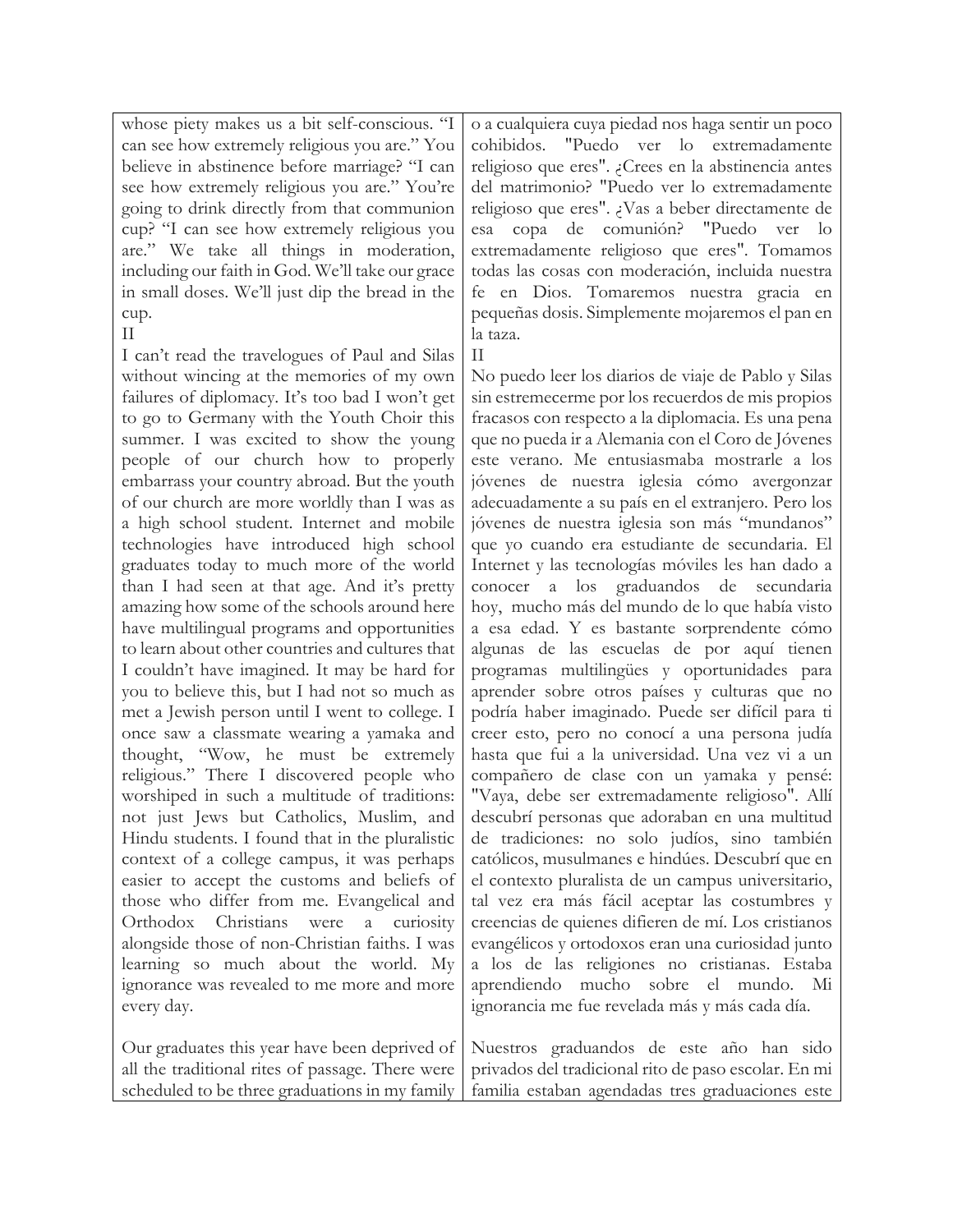whose piety makes us a bit self-conscious. "I can see how extremely religious you are." You believe in abstinence before marriage? "I can see how extremely religious you are." You're going to drink directly from that communion cup? "I can see how extremely religious you are." We take all things in moderation, including our faith in God. We'll take our grace in small doses. We'll just dip the bread in the cup.

II

I can't read the travelogues of Paul and Silas without wincing at the memories of my own failures of diplomacy. It's too bad I won't get to go to Germany with the Youth Choir this summer. I was excited to show the young people of our church how to properly embarrass your country abroad. But the youth of our church are more worldly than I was as a high school student. Internet and mobile technologies have introduced high school graduates today to much more of the world than I had seen at that age. And it's pretty amazing how some of the schools around here have multilingual programs and opportunities to learn about other countries and cultures that I couldn't have imagined. It may be hard for you to believe this, but I had not so much as met a Jewish person until I went to college. I once saw a classmate wearing a yamaka and thought, "Wow, he must be extremely religious." There I discovered people who worshiped in such a multitude of traditions: not just Jews but Catholics, Muslim, and Hindu students. I found that in the pluralistic context of a college campus, it was perhaps easier to accept the customs and beliefs of those who differ from me. Evangelical and Orthodox Christians were a curiosity alongside those of non-Christian faiths. I was learning so much about the world. My ignorance was revealed to me more and more every day.

o a cualquiera cuya piedad nos haga sentir un poco cohibidos. "Puedo ver lo extremadamente religioso que eres". ¿Crees en la abstinencia antes del matrimonio? "Puedo ver lo extremadamente religioso que eres". ¿Vas a beber directamente de esa copa de comunión? "Puedo ver lo extremadamente religioso que eres". Tomamos todas las cosas con moderación, incluida nuestra fe en Dios. Tomaremos nuestra gracia en pequeñas dosis. Simplemente mojaremos el pan en la taza.

II

No puedo leer los diarios de viaje de Pablo y Silas sin estremecerme por los recuerdos de mis propios fracasos con respecto a la diplomacia. Es una pena que no pueda ir a Alemania con el Coro de Jóvenes este verano. Me entusiasmaba mostrarle a los jóvenes de nuestra iglesia cómo avergonzar adecuadamente a su país en el extranjero. Pero los jóvenes de nuestra iglesia son más "mundanos" que yo cuando era estudiante de secundaria. El Internet y las tecnologías móviles les han dado a conocer a los graduandos de secundaria hoy, mucho más del mundo de lo que había visto a esa edad. Y es bastante sorprendente cómo algunas de las escuelas de por aquí tienen programas multilingües y oportunidades para aprender sobre otros países y culturas que no podría haber imaginado. Puede ser difícil para ti creer esto, pero no conocí a una persona judía hasta que fui a la universidad. Una vez vi a un compañero de clase con un yamaka y pensé: "Vaya, debe ser extremadamente religioso". Allí descubrí personas que adoraban en una multitud de tradiciones: no solo judíos, sino también católicos, musulmanes e hindúes. Descubrí que en el contexto pluralista de un campus universitario, tal vez era más fácil aceptar las costumbres y creencias de quienes difieren de mí. Los cristianos evangélicos y ortodoxos eran una curiosidad junto a los de las religiones no cristianas. Estaba aprendiendo mucho sobre el mundo. Mi ignorancia me fue revelada más y más cada día.

Our graduates this year have been deprived of all the traditional rites of passage. There were scheduled to be three graduations in my family Nuestros graduandos de este año han sido privados del tradicional rito de paso escolar. En mi familia estaban agendadas tres graduaciones este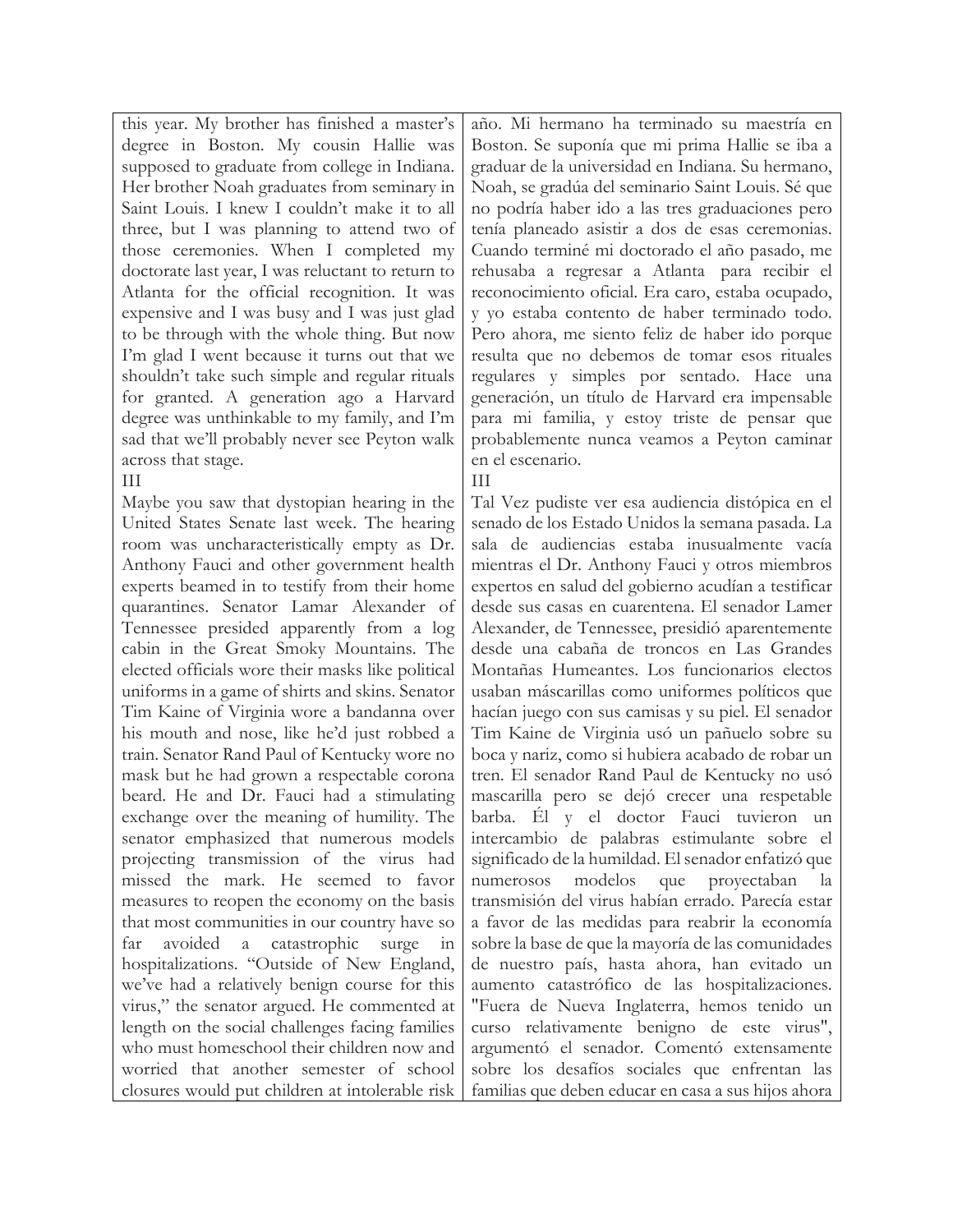this year. My brother has finished a master's degree in Boston. My cousin Hallie was supposed to graduate from college in Indiana. Her brother Noah graduates from seminary in Saint Louis. I knew I couldn't make it to all three, but I was planning to attend two of those ceremonies. When I completed my doctorate last year, I was reluctant to return to Atlanta for the official recognition. It was expensive and I was busy and I was just glad to be through with the whole thing. But now I'm glad I went because it turns out that we shouldn't take such simple and regular rituals for granted. A generation ago a Harvard degree was unthinkable to my family, and I'm sad that we'll probably never see Peyton walk across that stage.

## III

Maybe you saw that dystopian hearing in the United States Senate last week. The hearing room was uncharacteristically empty as Dr. Anthony Fauci and other government health experts beamed in to testify from their home quarantines. Senator Lamar Alexander of Tennessee presided apparently from a log cabin in the Great Smoky Mountains. The elected officials wore their masks like political uniforms in a game of shirts and skins. Senator Tim Kaine of Virginia wore a bandanna over his mouth and nose, like he'd just robbed a train. Senator Rand Paul of Kentucky wore no mask but he had grown a respectable corona beard. He and Dr. Fauci had a stimulating exchange over the meaning of humility. The senator emphasized that numerous models projecting transmission of the virus had missed the mark. He seemed to favor measures to reopen the economy on the basis that most communities in our country have so far avoided a catastrophic surge in hospitalizations. "Outside of New England, we've had a relatively benign course for this virus," the senator argued. He commented at length on the social challenges facing families who must homeschool their children now and worried that another semester of school closures would put children at intolerable risk

año. Mi hermano ha terminado su maestría en Boston. Se suponía que mi prima Hallie se iba a graduar de la universidad en Indiana. Su hermano, Noah, se gradúa del seminario Saint Louis. Sé que no podría haber ido a las tres graduaciones pero tenía planeado asistir a dos de esas ceremonias. Cuando terminé mi doctorado el año pasado, me rehusaba a regresar a Atlanta para recibir el reconocimiento oficial. Era caro, estaba ocupado, y yo estaba contento de haber terminado todo. Pero ahora, me siento feliz de haber ido porque resulta que no debemos de tomar esos rituales regulares y simples por sentado. Hace una generación, un título de Harvard era impensable para mi familia, y estoy triste de pensar que probablemente nunca veamos a Peyton caminar en el escenario.

## III

Tal Vez pudiste ver esa audiencia distópica en el senado de los Estado Unidos la semana pasada. La sala de audiencias estaba inusualmente vacía mientras el Dr. Anthony Fauci y otros miembros expertos en salud del gobierno acudían a testificar desde sus casas en cuarentena. El senador Lamer Alexander, de Tennessee, presidió aparentemente desde una cabaña de troncos en Las Grandes Montañas Humeantes. Los funcionarios electos usaban máscarillas como uniformes políticos que hacían juego con sus camisas y su piel. El senador Tim Kaine de Virginia usó un pañuelo sobre su boca y nariz, como si hubiera acabado de robar un tren. El senador Rand Paul de Kentucky no usó mascarilla pero se dejó crecer una respetable barba. Él y el doctor Fauci tuvieron un intercambio de palabras estimulante sobre el significado de la humildad. El senador enfatizó que numerosos modelos que proyectaban la transmisión del virus habían errado. Parecía estar a favor de las medidas para reabrir la economía sobre la base de que la mayoría de las comunidades de nuestro país, hasta ahora, han evitado un aumento catastrófico de las hospitalizaciones. "Fuera de Nueva Inglaterra, hemos tenido un curso relativamente benigno de este virus", argumentó el senador. Comentó extensamente sobre los desafíos sociales que enfrentan las familias que deben educar en casa a sus hijos ahora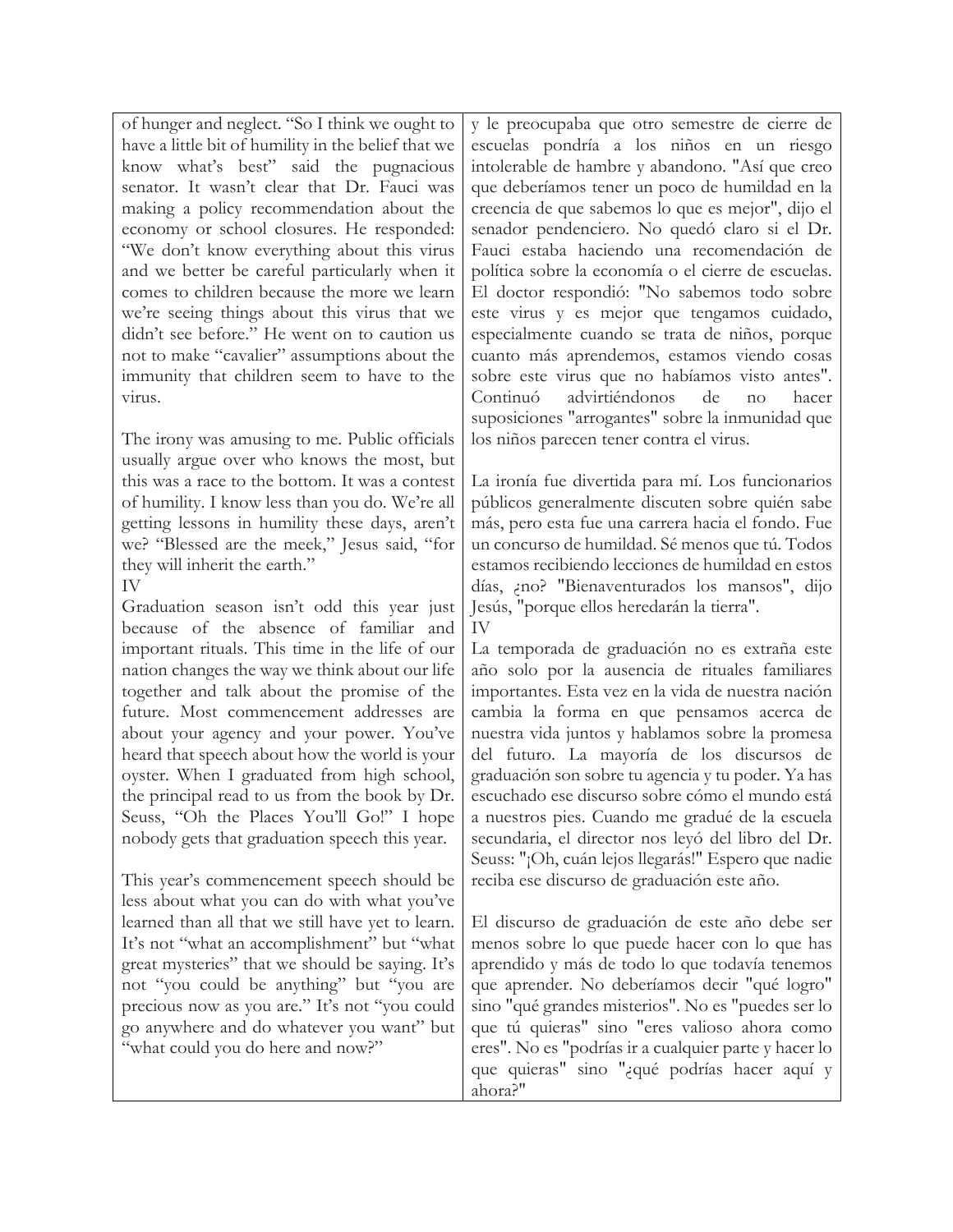of hunger and neglect. "So I think we ought to have a little bit of humility in the belief that we know what's best" said the pugnacious senator. It wasn't clear that Dr. Fauci was making a policy recommendation about the economy or school closures. He responded: "We don't know everything about this virus and we better be careful particularly when it comes to children because the more we learn we're seeing things about this virus that we didn't see before." He went on to caution us not to make "cavalier" assumptions about the immunity that children seem to have to the virus.

The irony was amusing to me. Public officials usually argue over who knows the most, but this was a race to the bottom. It was a contest of humility. I know less than you do. We're all getting lessons in humility these days, aren't we? "Blessed are the meek," Jesus said, "for they will inherit the earth."

## IV

Graduation season isn't odd this year just because of the absence of familiar and important rituals. This time in the life of our nation changes the way we think about our life together and talk about the promise of the future. Most commencement addresses are about your agency and your power. You've heard that speech about how the world is your oyster. When I graduated from high school, the principal read to us from the book by Dr. Seuss, "Oh the Places You'll Go!" I hope nobody gets that graduation speech this year.

This year's commencement speech should be less about what you can do with what you've learned than all that we still have yet to learn. It's not "what an accomplishment" but "what great mysteries" that we should be saying. It's not "you could be anything" but "you are precious now as you are." It's not "you could go anywhere and do whatever you want" but "what could you do here and now?"

y le preocupaba que otro semestre de cierre de escuelas pondría a los niños en un riesgo intolerable de hambre y abandono. "Así que creo que deberíamos tener un poco de humildad en la creencia de que sabemos lo que es mejor", dijo el senador pendenciero. No quedó claro si el Dr. Fauci estaba haciendo una recomendación de política sobre la economía o el cierre de escuelas. El doctor respondió: "No sabemos todo sobre este virus y es mejor que tengamos cuidado, especialmente cuando se trata de niños, porque cuanto más aprendemos, estamos viendo cosas sobre este virus que no habíamos visto antes". Continuó advirtiéndonos de no hacer suposiciones "arrogantes" sobre la inmunidad que los niños parecen tener contra el virus.

La ironía fue divertida para mí. Los funcionarios públicos generalmente discuten sobre quién sabe más, pero esta fue una carrera hacia el fondo. Fue un concurso de humildad. Sé menos que tú. Todos estamos recibiendo lecciones de humildad en estos días, ¿no? "Bienaventurados los mansos", dijo Jesús, "porque ellos heredarán la tierra". IV

La temporada de graduación no es extraña este año solo por la ausencia de rituales familiares importantes. Esta vez en la vida de nuestra nación cambia la forma en que pensamos acerca de nuestra vida juntos y hablamos sobre la promesa del futuro. La mayoría de los discursos de graduación son sobre tu agencia y tu poder. Ya has escuchado ese discurso sobre cómo el mundo está a nuestros pies. Cuando me gradué de la escuela secundaria, el director nos leyó del libro del Dr. Seuss: "¡Oh, cuán lejos llegarás!" Espero que nadie reciba ese discurso de graduación este año.

El discurso de graduación de este año debe ser menos sobre lo que puede hacer con lo que has aprendido y más de todo lo que todavía tenemos que aprender. No deberíamos decir "qué logro" sino "qué grandes misterios". No es "puedes ser lo que tú quieras" sino "eres valioso ahora como eres". No es "podrías ir a cualquier parte y hacer lo que quieras" sino "¿qué podrías hacer aquí y ahora?"